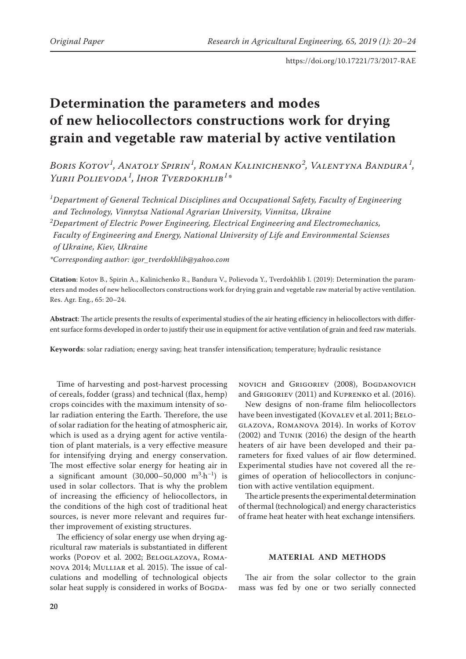# **Determination the parameters and modes of new heliocollectors constructions work for drying grain and vegetable raw material by active ventilation**

*Boris Kotov<sup>1</sup> , Anatoly Spirin<sup>1</sup> , Roman Kalinichenko<sup>2</sup> , Valentyna Bandura<sup>1</sup> , Yurii Polievoda<sup>1</sup> , Ihor Tverdokhlib<sup>1</sup> \**

*1 Department of General Technical Disciplines and Occupational Safety, Faculty of Engineering and Technology, Vinnytsa National Agrarian University, Vinnitsa, Ukraine 2 Department of Electric Power Engineering, Electrical Engineering and Electromechanics, Faculty of Engineering and Energy, National University of Life and Environmental Scienses of Ukraine, Kiev, Ukraine*

*\*Corresponding author: [igor\\_tverdokhlib@yahoo.com](mailto:igor_tverdokhlib@yahoo.com)*

**Citation**: Kotov B., Spirin A., Kalinichenko R., Bandura V., Polievoda Y., Tverdokhlib I. (2019): Determination the parameters and modes of new heliocollectors constructions work for drying grain and vegetable raw material by active ventilation. Res. Agr. Eng., 65: 20–24.

**Abstract**: The article presents the results of experimental studies of the air heating efficiency in heliocollectors with different surface forms developed in order to justify their use in equipment for active ventilation of grain and feed raw materials.

**Keywords**: solar radiation; energy saving; heat transfer intensification; temperature; hydraulic resistance

Time of harvesting and post-harvest processing of cereals, fodder (grass) and technical (flax, hemp) crops coincides with the maximum intensity of solar radiation entering the Earth. Therefore, the use of solar radiation for the heating of atmospheric air, which is used as a drying agent for active ventilation of plant materials, is a very effective measure for intensifying drying and energy conservation. The most effective solar energy for heating air in a significant amount  $(30,000-50,000 \text{ m}^3 \cdot \text{h}^{-1})$  is used in solar collectors. That is why the problem of increasing the efficiency of heliocollectors, in the conditions of the high cost of traditional heat sources, is never more relevant and requires further improvement of existing structures.

The efficiency of solar energy use when drying agricultural raw materials is substantiated in different works (Popov et al. 2002; Beloglazova, Romanova 2014; Mulliar et al. 2015). The issue of calculations and modelling of technological objects solar heat supply is considered in works of BOGDA-

novich and Grigoriev (2008), Bogdanovich and Grigoriev (2011) and Kuprenko et al. (2016).

New designs of non-frame film heliocollectors have been investigated (KOVALEV et al. 2011; BELO-GLAZOVA, ROMANOVA 2014). In works of KOTOV (2002) and Tunik (2016) the design of the hearth heaters of air have been developed and their parameters for fixed values of air flow determined. Experimental studies have not covered all the regimes of operation of heliocollectors in conjunction with active ventilation equipment.

The article presents the experimental determination of thermal (technological) and energy characteristics of frame heat heater with heat exchange intensifiers.

### **MATERIAL AND METHODS**

The air from the solar collector to the grain mass was fed by one or two serially connected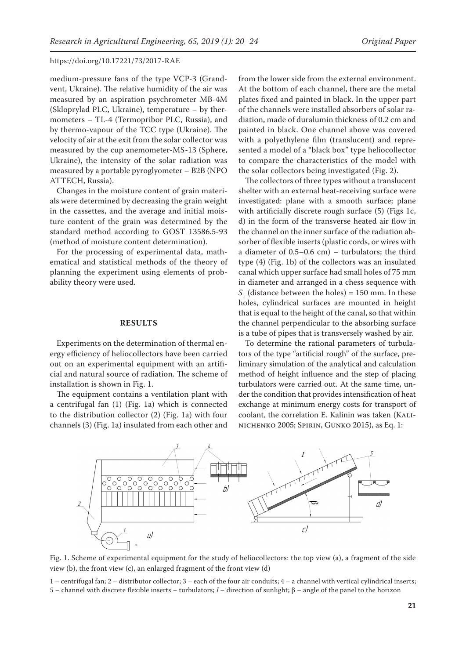medium-pressure fans of the type VCP-3 (Grandvent, Ukraine). The relative humidity of the air was measured by an aspiration psychrometer MB-4M (Skloprylad PLC, Ukraine), temperature – by thermometers – TL-4 (Termopribor PLC, Russia), and by thermo-vapour of the TCC type (Ukraine). The velocity of air at the exit from the solar collector was measured by the cup anemometer-MS-13 (Sphere, Ukraine), the intensity of the solar radiation was measured by a portable pyroglyometer – B2B (NPO ATTECH, Russia).

Changes in the moisture content of grain materials were determined by decreasing the grain weight in the cassettes, and the average and initial moisture content of the grain was determined by the standard method according to GOST 13586.5-93 (method of moisture content determination).

For the processing of experimental data, mathematical and statistical methods of the theory of planning the experiment using elements of probability theory were used.

#### **RESULTS**

Experiments on the determination of thermal energy efficiency of heliocollectors have been carried out on an experimental equipment with an artificial and natural source of radiation. The scheme of installation is shown in Fig. 1.

The equipment contains a ventilation plant with a centrifugal fan (1) (Fig. 1a) which is connected to the distribution collector (2) (Fig. 1a) with four channels (3) (Fig. 1a) insulated from each other and from the lower side from the external environment. At the bottom of each channel, there are the metal plates fixed and painted in black. In the upper part of the channels were installed absorbers of solar radiation, made of duralumin thickness of 0.2 cm and painted in black. One channel above was covered with a polyethylene film (translucent) and represented a model of a "black box" type heliocollector to compare the characteristics of the model with the solar collectors being investigated (Fig. 2).

The collectors of three types without a translucent shelter with an external heat-receiving surface were investigated: plane with a smooth surface; plane with artificially discrete rough surface (5) (Figs 1c, d) in the form of the transverse heated air flow in the channel on the inner surface of the radiation absorber of flexible inserts (plastic cords, or wires with a diameter of 0.5–0.6 cm) – turbulators; the third type (4) (Fig. 1b) of the collectors was an insulated canal which upper surface had small holes of 75 mm in diameter and arranged in a chess sequence with  $S_1$  (distance between the holes) = 150 mm. In these holes, cylindrical surfaces are mounted in height that is equal to the height of the canal, so that within the channel perpendicular to the absorbing surface is a tube of pipes that is transversely washed by air.

To determine the rational parameters of turbulators of the type "artificial rough" of the surface, preliminary simulation of the analytical and calculation method of height influence and the step of placing turbulators were carried out. At the same time, under the condition that provides intensification of heat exchange at minimum energy costs for transport of coolant, the correlation E. Kalinin was taken (KALInichenko 2005; Spirin, Gunko 2015), as Eq. 1:



Fig. 1. Scheme of experimental equipment for the study of heliocollectors: the top view (a), a fragment of the side view (b), the front view (c), an enlarged fragment of the front view (d)

1 – centrifugal fan; 2 – distributor collector; 3 – each of the four air conduits; 4 – a channel with vertical cylindrical inserts; 5 – channel with discrete flexible inserts – turbulators; *I* – direction of sunlight; β – angle of the panel to the horizon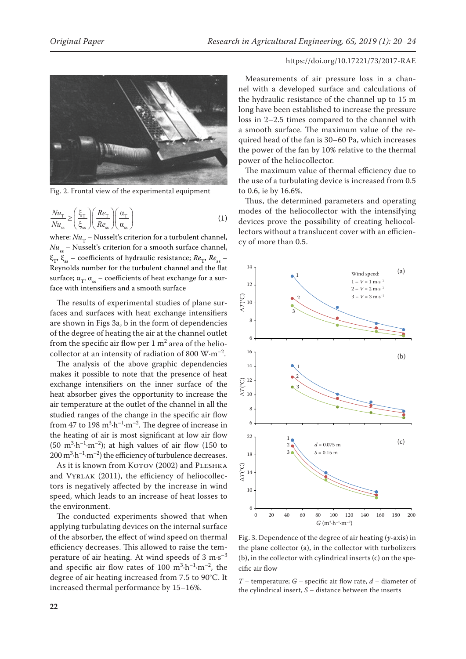

Fig. 2. Frontal view of the experimental equipment

$$
\frac{Nu_{\rm T}}{Nu_{\rm ss}} \ge \left(\frac{\xi_{\rm T}}{\xi_{\rm ss}}\right) \left(\frac{Re_{\rm T}}{Re_{\rm ss}}\right) \left(\frac{\alpha_{\rm T}}{\alpha_{\rm ss}}\right) \tag{1}
$$

where:  $Nu_{\rm T}$  – Nusselt's criterion for a turbulent channel,  $Nu_{\rm sc}$  – Nusselt's criterion for a smooth surface channel,  $\xi_{\tau}$ ,  $\xi_{\rm ss}$  – coefficients of hydraulic resistance;  $Re_{\tau}$ ,  $Re_{\rm ss}$  – Reynolds number for the turbulent channel and the flat surface;  $\alpha_{\tau}$ ,  $\alpha_{ss}$  – coefficients of heat exchange for a surface with intensifiers and a smooth surface

The results of experimental studies of plane surfaces and surfaces with heat exchange intensifiers are shown in Figs 3a, b in the form of dependencies of the degree of heating the air at the channel outlet from the specific air flow per  $1 \text{ m}^2$  area of the heliocollector at an intensity of radiation of 800  $\text{W}\cdot\text{m}^{-2}$ .

The analysis of the above graphic dependencies makes it possible to note that the presence of heat exchange intensifiers on the inner surface of the heat absorber gives the opportunity to increase the air temperature at the outlet of the channel in all the studied ranges of the change in the specific air flow from 47 to 198  $\text{m}^3 \cdot \text{h}^{-1} \cdot \text{m}^{-2}$ . The degree of increase in the heating of air is most significant at low air flow  $(50 \text{ m}^3 \cdot \text{h}^{-1} \cdot \text{m}^{-2})$ ; at high values of air flow  $(150 \text{ to } 150)$  $200 \,\mathrm{m}^3 \cdot \mathrm{h}^{-1} \cdot \mathrm{m}^{-2}$ ) the efficiency of turbulence decreases.

As it is known from KOTOV (2002) and PLESHKA and VYRLAK (2011), the efficiency of heliocollectors is negatively affected by the increase in wind speed, which leads to an increase of heat losses to the environment.

The conducted experiments showed that when applying turbulating devices on the internal surface of the absorber, the effect of wind speed on thermal efficiency decreases. This allowed to raise the temperature of air heating. At wind speeds of  $3 \text{ m} \cdot \text{s}^{-3}$ and specific air flow rates of 100  $m^3 \cdot h^{-1} \cdot m^{-2}$ , the degree of air heating increased from 7.5 to 90°C. It increased thermal performance by 15–16%.

# https://doi.org/10.17221/73/2017-RAE

Measurements of air pressure loss in a channel with a developed surface and calculations of the hydraulic resistance of the channel up to 15 m long have been established to increase the pressure loss in 2–2.5 times compared to the channel with a smooth surface. The maximum value of the required head of the fan is 30–60 Pa, which increases the power of the fan by 10% relative to the thermal power of the heliocollector.

The maximum value of thermal efficiency due to the use of a turbulating device is increased from 0.5 to 0.6, ie by 16.6%.

Thus, the determined parameters and operating modes of the heliocollector with the intensifying devices prove the possibility of creating heliocollectors without a translucent cover with an efficiency of more than 0.5.



Fig. 3. Dependence of the degree of air heating (*y*-axis) in the plane collector (a), in the collector with turbolizers (b), in the collector with cylindrical inserts (c) on the specific air flow

*T* – temperature; *G* – specific air flow rate, *d* – diameter of the cylindrical insert, *S* – distance between the inserts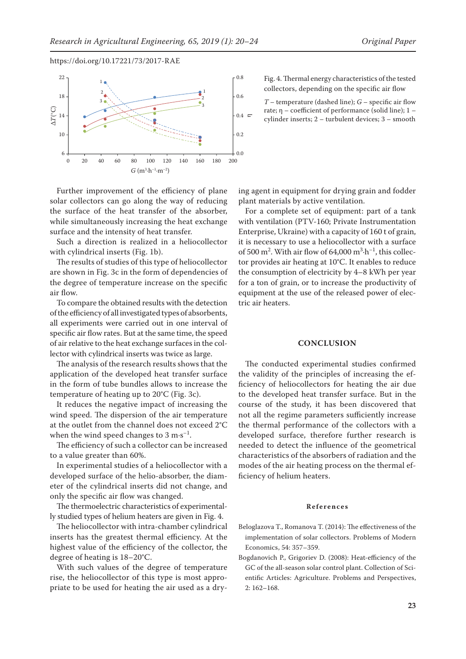

Further improvement of the efficiency of plane solar collectors can go along the way of reducing the surface of the heat transfer of the absorber, while simultaneously increasing the heat exchange surface and the intensity of heat transfer.

Such a direction is realized in a heliocollector with cylindrical inserts (Fig. 1b).

The results of studies of this type of heliocollector are shown in Fig. 3c in the form of dependencies of the degree of temperature increase on the specific air flow.

To compare the obtained results with the detection of the efficiency of all investigated types of absorbents, all experiments were carried out in one interval of specific air flow rates. But at the same time, the speed of air relative to the heat exchange surfaces in the collector with cylindrical inserts was twice as large.

The analysis of the research results shows that the application of the developed heat transfer surface in the form of tube bundles allows to increase the temperature of heating up to 20°C (Fig. 3c).

It reduces the negative impact of increasing the wind speed. The dispersion of the air temperature at the outlet from the channel does not exceed 2°C when the wind speed changes to 3 m $\cdot$ s<sup>-1</sup>.

The efficiency of such a collector can be increased to a value greater than 60%.

In experimental studies of a heliocollector with a developed surface of the helio-absorber, the diameter of the cylindrical inserts did not change, and only the specific air flow was changed.

The thermoelectric characteristics of experimentally studied types of helium heaters are given in Fig. 4.

The heliocollector with intra-chamber cylindrical inserts has the greatest thermal efficiency. At the highest value of the efficiency of the collector, the degree of heating is 18–20°C.

With such values of the degree of temperature rise, the heliocollector of this type is most appropriate to be used for heating the air used as a dryFig. 4. Thermal energy characteristics of the tested collectors, depending on the specific air flow

*T* – temperature (dashed line); *G* – specific air flow rate; η – coefficient of performance (solid line); 1 – cylinder inserts; 2 – turbulent devices; 3 – smooth

ing agent in equipment for drying grain and fodder plant materials by active ventilation.

For a complete set of equipment: part of a tank with ventilation (PTV-160; Private Instrumentation Enterprise, Ukraine) with a capacity of 160 t of grain, it is necessary to use a heliocollector with a surface of 500 m<sup>2</sup>. With air flow of 64,000 m<sup>3</sup> $\cdot$ h<sup>-1</sup>, this collector provides air heating at 10°C. It enables to reduce the consumption of electricity by 4–8 kWh per year for a ton of grain, or to increase the productivity of equipment at the use of the released power of electric air heaters.

#### **CONCLUSION**

The conducted experimental studies confirmed the validity of the principles of increasing the efficiency of heliocollectors for heating the air due to the developed heat transfer surface. But in the course of the study, it has been discovered that not all the regime parameters sufficiently increase the thermal performance of the collectors with a developed surface, therefore further research is needed to detect the influence of the geometrical characteristics of the absorbers of radiation and the modes of the air heating process on the thermal efficiency of helium heaters.

#### **References**

- Beloglazova T., Romanova T. (2014): The effectiveness of the implementation of solar collectors. Problems of Modern Economics, 54: 357–359.
- Bogdanovich P., Grigoriev D. (2008): Heat-efficiency of the GC of the all-season solar control plant. Collection of Scientific Articles: Agriculture. Problems and Perspectives, 2: 162–168.